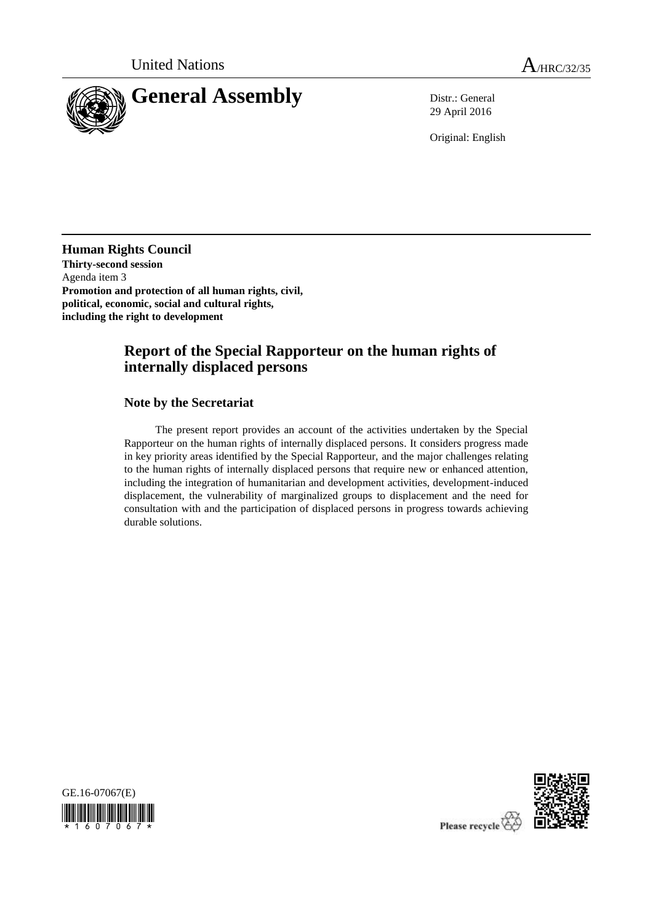

29 April 2016

Original: English

**Human Rights Council Thirty-second session** Agenda item 3 **Promotion and protection of all human rights, civil, political, economic, social and cultural rights, including the right to development** 

## **Report of the Special Rapporteur on the human rights of internally displaced persons**

**Note by the Secretariat**

The present report provides an account of the activities undertaken by the Special Rapporteur on the human rights of internally displaced persons. It considers progress made in key priority areas identified by the Special Rapporteur, and the major challenges relating to the human rights of internally displaced persons that require new or enhanced attention, including the integration of humanitarian and development activities, development-induced displacement, the vulnerability of marginalized groups to displacement and the need for consultation with and the participation of displaced persons in progress towards achieving durable solutions.





Please recycle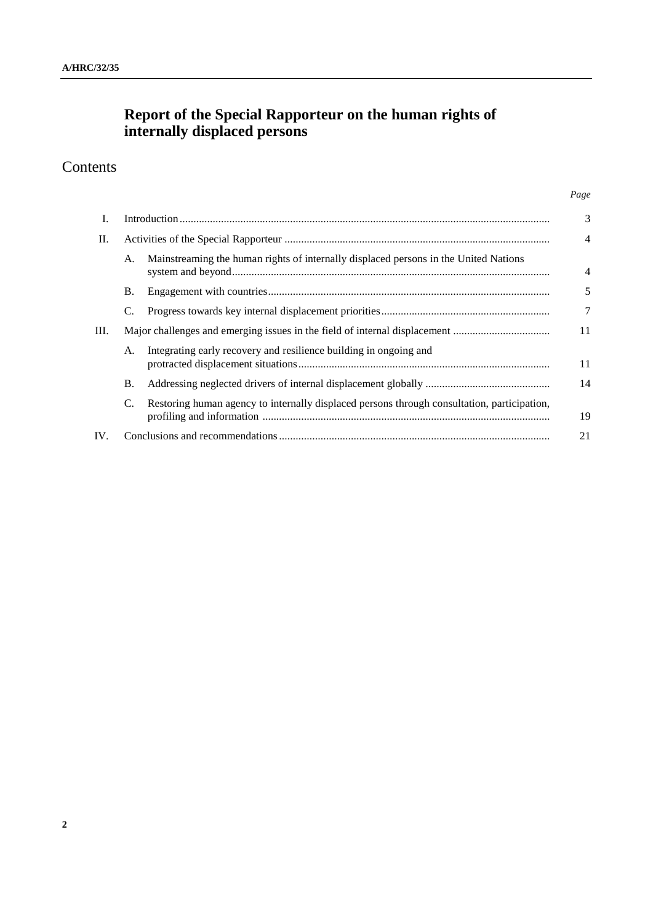## **Report of the Special Rapporteur on the human rights of internally displaced persons**

# Contents

| I.  |           |                                                                                             | 3              |
|-----|-----------|---------------------------------------------------------------------------------------------|----------------|
| П.  |           |                                                                                             | $\overline{4}$ |
|     | A.        | Mainstreaming the human rights of internally displaced persons in the United Nations        | $\overline{4}$ |
|     | Β.        |                                                                                             | 5              |
|     | C.        |                                                                                             | $\overline{7}$ |
| Ш.  |           | Major challenges and emerging issues in the field of internal displacement                  |                |
|     | A.        | Integrating early recovery and resilience building in ongoing and                           | 11             |
|     | <b>B.</b> |                                                                                             | 14             |
|     | C.        | Restoring human agency to internally displaced persons through consultation, participation, | 19             |
| IV. |           |                                                                                             | 21             |

*Page*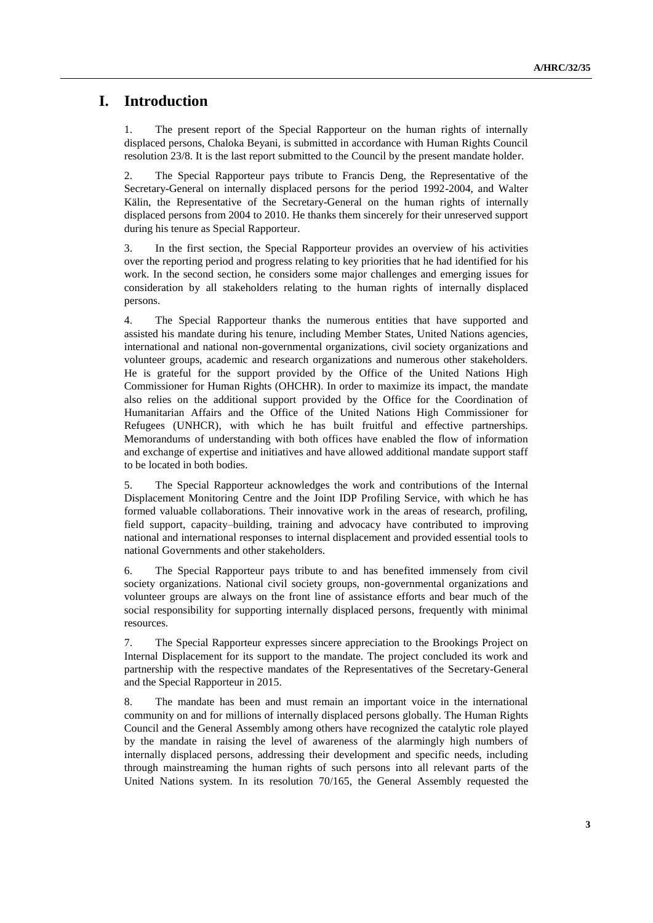## **I. Introduction**

1. The present report of the Special Rapporteur on the human rights of internally displaced persons, Chaloka Beyani, is submitted in accordance with Human Rights Council resolution 23/8. It is the last report submitted to the Council by the present mandate holder.

2. The Special Rapporteur pays tribute to Francis Deng, the Representative of the Secretary-General on internally displaced persons for the period 1992-2004, and Walter Kälin, the Representative of the Secretary-General on the human rights of internally displaced persons from 2004 to 2010. He thanks them sincerely for their unreserved support during his tenure as Special Rapporteur.

3. In the first section, the Special Rapporteur provides an overview of his activities over the reporting period and progress relating to key priorities that he had identified for his work. In the second section, he considers some major challenges and emerging issues for consideration by all stakeholders relating to the human rights of internally displaced persons.

4. The Special Rapporteur thanks the numerous entities that have supported and assisted his mandate during his tenure, including Member States, United Nations agencies, international and national non-governmental organizations, civil society organizations and volunteer groups, academic and research organizations and numerous other stakeholders. He is grateful for the support provided by the Office of the United Nations High Commissioner for Human Rights (OHCHR). In order to maximize its impact, the mandate also relies on the additional support provided by the Office for the Coordination of Humanitarian Affairs and the Office of the United Nations High Commissioner for Refugees (UNHCR), with which he has built fruitful and effective partnerships. Memorandums of understanding with both offices have enabled the flow of information and exchange of expertise and initiatives and have allowed additional mandate support staff to be located in both bodies.

5. The Special Rapporteur acknowledges the work and contributions of the Internal Displacement Monitoring Centre and the Joint IDP Profiling Service, with which he has formed valuable collaborations. Their innovative work in the areas of research, profiling, field support, capacity–building, training and advocacy have contributed to improving national and international responses to internal displacement and provided essential tools to national Governments and other stakeholders.

6. The Special Rapporteur pays tribute to and has benefited immensely from civil society organizations. National civil society groups, non-governmental organizations and volunteer groups are always on the front line of assistance efforts and bear much of the social responsibility for supporting internally displaced persons, frequently with minimal resources.

7. The Special Rapporteur expresses sincere appreciation to the Brookings Project on Internal Displacement for its support to the mandate. The project concluded its work and partnership with the respective mandates of the Representatives of the Secretary-General and the Special Rapporteur in 2015.

8. The mandate has been and must remain an important voice in the international community on and for millions of internally displaced persons globally. The Human Rights Council and the General Assembly among others have recognized the catalytic role played by the mandate in raising the level of awareness of the alarmingly high numbers of internally displaced persons, addressing their development and specific needs, including through mainstreaming the human rights of such persons into all relevant parts of the United Nations system. In its resolution 70/165, the General Assembly requested the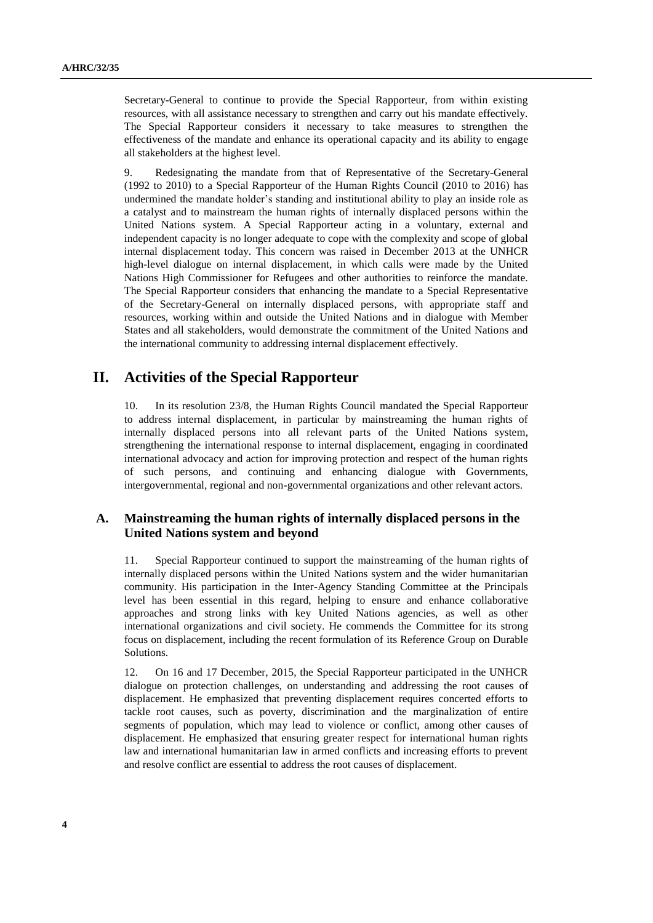Secretary-General to continue to provide the Special Rapporteur, from within existing resources, with all assistance necessary to strengthen and carry out his mandate effectively. The Special Rapporteur considers it necessary to take measures to strengthen the effectiveness of the mandate and enhance its operational capacity and its ability to engage all stakeholders at the highest level.

9. Redesignating the mandate from that of Representative of the Secretary-General (1992 to 2010) to a Special Rapporteur of the Human Rights Council (2010 to 2016) has undermined the mandate holder's standing and institutional ability to play an inside role as a catalyst and to mainstream the human rights of internally displaced persons within the United Nations system. A Special Rapporteur acting in a voluntary, external and independent capacity is no longer adequate to cope with the complexity and scope of global internal displacement today. This concern was raised in December 2013 at the UNHCR high-level dialogue on internal displacement, in which calls were made by the United Nations High Commissioner for Refugees and other authorities to reinforce the mandate. The Special Rapporteur considers that enhancing the mandate to a Special Representative of the Secretary-General on internally displaced persons, with appropriate staff and resources, working within and outside the United Nations and in dialogue with Member States and all stakeholders, would demonstrate the commitment of the United Nations and the international community to addressing internal displacement effectively.

## **II. Activities of the Special Rapporteur**

10. In its resolution 23/8, the Human Rights Council mandated the Special Rapporteur to address internal displacement, in particular by mainstreaming the human rights of internally displaced persons into all relevant parts of the United Nations system, strengthening the international response to internal displacement, engaging in coordinated international advocacy and action for improving protection and respect of the human rights of such persons, and continuing and enhancing dialogue with Governments, intergovernmental, regional and non-governmental organizations and other relevant actors.

### **A. Mainstreaming the human rights of internally displaced persons in the United Nations system and beyond**

11. Special Rapporteur continued to support the mainstreaming of the human rights of internally displaced persons within the United Nations system and the wider humanitarian community. His participation in the Inter-Agency Standing Committee at the Principals level has been essential in this regard, helping to ensure and enhance collaborative approaches and strong links with key United Nations agencies, as well as other international organizations and civil society. He commends the Committee for its strong focus on displacement, including the recent formulation of its Reference Group on Durable Solutions.

12. On 16 and 17 December, 2015, the Special Rapporteur participated in the UNHCR dialogue on protection challenges, on understanding and addressing the root causes of displacement. He emphasized that preventing displacement requires concerted efforts to tackle root causes, such as poverty, discrimination and the marginalization of entire segments of population, which may lead to violence or conflict, among other causes of displacement. He emphasized that ensuring greater respect for international human rights law and international humanitarian law in armed conflicts and increasing efforts to prevent and resolve conflict are essential to address the root causes of displacement.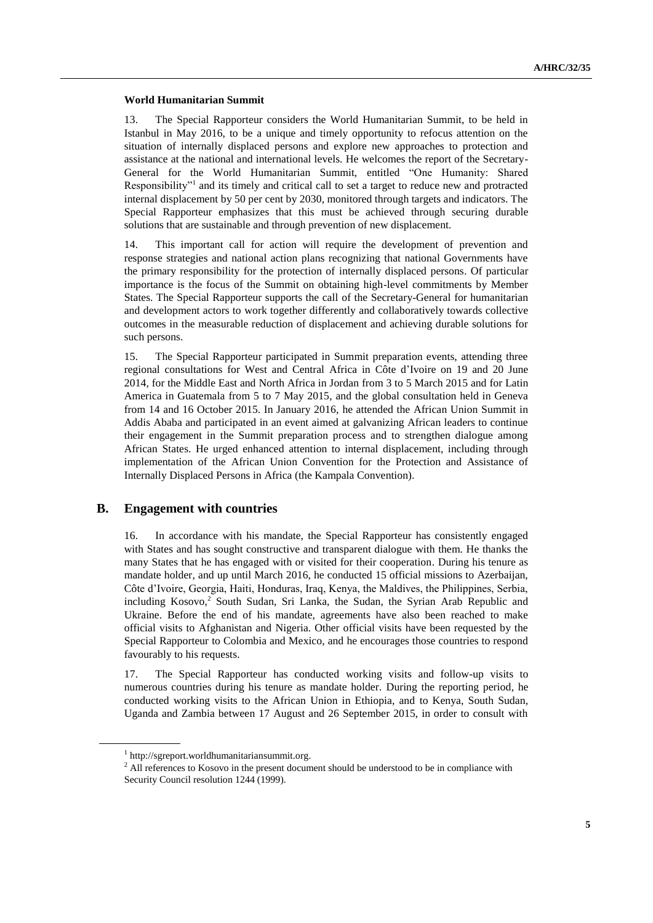#### **World Humanitarian Summit**

13. The Special Rapporteur considers the World Humanitarian Summit, to be held in Istanbul in May 2016, to be a unique and timely opportunity to refocus attention on the situation of internally displaced persons and explore new approaches to protection and assistance at the national and international levels. He welcomes the report of the Secretary-General for the World Humanitarian Summit, entitled "One Humanity: Shared Responsibility"<sup>1</sup> and its timely and critical call to set a target to reduce new and protracted internal displacement by 50 per cent by 2030, monitored through targets and indicators. The Special Rapporteur emphasizes that this must be achieved through securing durable solutions that are sustainable and through prevention of new displacement.

14. This important call for action will require the development of prevention and response strategies and national action plans recognizing that national Governments have the primary responsibility for the protection of internally displaced persons. Of particular importance is the focus of the Summit on obtaining high-level commitments by Member States. The Special Rapporteur supports the call of the Secretary-General for humanitarian and development actors to work together differently and collaboratively towards collective outcomes in the measurable reduction of displacement and achieving durable solutions for such persons.

15. The Special Rapporteur participated in Summit preparation events, attending three regional consultations for West and Central Africa in Côte d'Ivoire on 19 and 20 June 2014, for the Middle East and North Africa in Jordan from 3 to 5 March 2015 and for Latin America in Guatemala from 5 to 7 May 2015, and the global consultation held in Geneva from 14 and 16 October 2015. In January 2016, he attended the African Union Summit in Addis Ababa and participated in an event aimed at galvanizing African leaders to continue their engagement in the Summit preparation process and to strengthen dialogue among African States. He urged enhanced attention to internal displacement, including through implementation of the African Union Convention for the Protection and Assistance of Internally Displaced Persons in Africa (the Kampala Convention).

### **B. Engagement with countries**

16. In accordance with his mandate, the Special Rapporteur has consistently engaged with States and has sought constructive and transparent dialogue with them. He thanks the many States that he has engaged with or visited for their cooperation. During his tenure as mandate holder, and up until March 2016, he conducted 15 official missions to Azerbaijan, Côte d'Ivoire, Georgia, Haiti, Honduras, Iraq, Kenya, the Maldives, the Philippines, Serbia, including Kosovo,<sup>2</sup> South Sudan, Sri Lanka, the Sudan, the Syrian Arab Republic and Ukraine. Before the end of his mandate, agreements have also been reached to make official visits to Afghanistan and Nigeria. Other official visits have been requested by the Special Rapporteur to Colombia and Mexico, and he encourages those countries to respond favourably to his requests.

17. The Special Rapporteur has conducted working visits and follow-up visits to numerous countries during his tenure as mandate holder. During the reporting period, he conducted working visits to the African Union in Ethiopia, and to Kenya, South Sudan, Uganda and Zambia between 17 August and 26 September 2015, in order to consult with

<sup>1</sup> http://sgreport.worldhumanitariansummit.org.

<sup>&</sup>lt;sup>2</sup> All references to Kosovo in the present document should be understood to be in compliance with Security Council resolution 1244 (1999).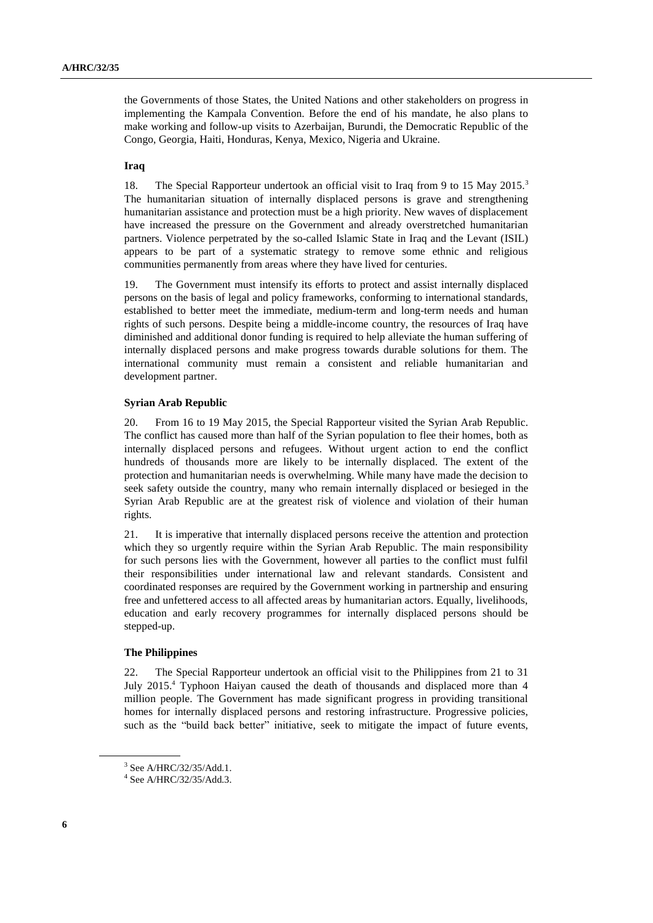the Governments of those States, the United Nations and other stakeholders on progress in implementing the Kampala Convention. Before the end of his mandate, he also plans to make working and follow-up visits to Azerbaijan, Burundi, the Democratic Republic of the Congo, Georgia, Haiti, Honduras, Kenya, Mexico, Nigeria and Ukraine.

#### **Iraq**

18. The Special Rapporteur undertook an official visit to Iraq from 9 to 15 May 2015.<sup>3</sup> The humanitarian situation of internally displaced persons is grave and strengthening humanitarian assistance and protection must be a high priority. New waves of displacement have increased the pressure on the Government and already overstretched humanitarian partners. Violence perpetrated by the so-called Islamic State in Iraq and the Levant (ISIL) appears to be part of a systematic strategy to remove some ethnic and religious communities permanently from areas where they have lived for centuries.

19. The Government must intensify its efforts to protect and assist internally displaced persons on the basis of legal and policy frameworks, conforming to international standards, established to better meet the immediate, medium-term and long-term needs and human rights of such persons. Despite being a middle-income country, the resources of Iraq have diminished and additional donor funding is required to help alleviate the human suffering of internally displaced persons and make progress towards durable solutions for them. The international community must remain a consistent and reliable humanitarian and development partner.

#### **Syrian Arab Republic**

20. From 16 to 19 May 2015, the Special Rapporteur visited the Syrian Arab Republic. The conflict has caused more than half of the Syrian population to flee their homes, both as internally displaced persons and refugees. Without urgent action to end the conflict hundreds of thousands more are likely to be internally displaced. The extent of the protection and humanitarian needs is overwhelming. While many have made the decision to seek safety outside the country, many who remain internally displaced or besieged in the Syrian Arab Republic are at the greatest risk of violence and violation of their human rights.

21. It is imperative that internally displaced persons receive the attention and protection which they so urgently require within the Syrian Arab Republic. The main responsibility for such persons lies with the Government, however all parties to the conflict must fulfil their responsibilities under international law and relevant standards. Consistent and coordinated responses are required by the Government working in partnership and ensuring free and unfettered access to all affected areas by humanitarian actors. Equally, livelihoods, education and early recovery programmes for internally displaced persons should be stepped-up.

#### **The Philippines**

22. The Special Rapporteur undertook an official visit to the Philippines from 21 to 31 July 2015.<sup>4</sup> Typhoon Haiyan caused the death of thousands and displaced more than 4 million people. The Government has made significant progress in providing transitional homes for internally displaced persons and restoring infrastructure. Progressive policies, such as the "build back better" initiative, seek to mitigate the impact of future events,

<sup>3</sup> See A/HRC/32/35/Add.1.

<sup>4</sup> See A/HRC/32/35/Add.3.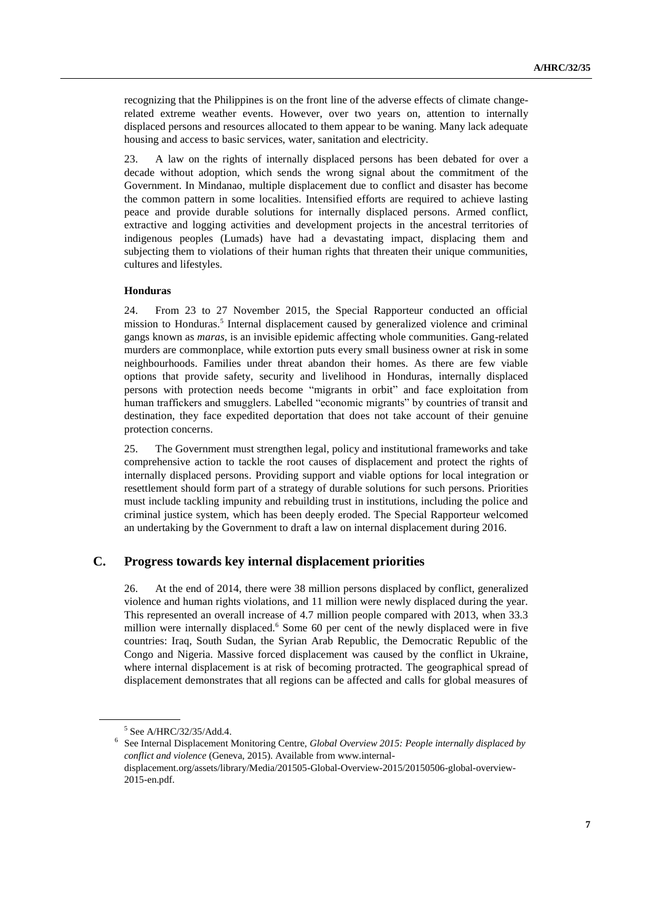recognizing that the Philippines is on the front line of the adverse effects of climate changerelated extreme weather events. However, over two years on, attention to internally displaced persons and resources allocated to them appear to be waning. Many lack adequate housing and access to basic services, water, sanitation and electricity.

23. A law on the rights of internally displaced persons has been debated for over a decade without adoption, which sends the wrong signal about the commitment of the Government. In Mindanao, multiple displacement due to conflict and disaster has become the common pattern in some localities. Intensified efforts are required to achieve lasting peace and provide durable solutions for internally displaced persons. Armed conflict, extractive and logging activities and development projects in the ancestral territories of indigenous peoples (Lumads) have had a devastating impact, displacing them and subjecting them to violations of their human rights that threaten their unique communities, cultures and lifestyles.

#### **Honduras**

24. From 23 to 27 November 2015, the Special Rapporteur conducted an official mission to Honduras.<sup>5</sup> Internal displacement caused by generalized violence and criminal gangs known as *maras*, is an invisible epidemic affecting whole communities. Gang-related murders are commonplace, while extortion puts every small business owner at risk in some neighbourhoods. Families under threat abandon their homes. As there are few viable options that provide safety, security and livelihood in Honduras, internally displaced persons with protection needs become "migrants in orbit" and face exploitation from human traffickers and smugglers. Labelled "economic migrants" by countries of transit and destination, they face expedited deportation that does not take account of their genuine protection concerns.

25. The Government must strengthen legal, policy and institutional frameworks and take comprehensive action to tackle the root causes of displacement and protect the rights of internally displaced persons. Providing support and viable options for local integration or resettlement should form part of a strategy of durable solutions for such persons. Priorities must include tackling impunity and rebuilding trust in institutions, including the police and criminal justice system, which has been deeply eroded. The Special Rapporteur welcomed an undertaking by the Government to draft a law on internal displacement during 2016.

### **C. Progress towards key internal displacement priorities**

26. At the end of 2014, there were 38 million persons displaced by conflict, generalized violence and human rights violations, and 11 million were newly displaced during the year. This represented an overall increase of 4.7 million people compared with 2013, when 33.3 million were internally displaced.<sup>6</sup> Some 60 per cent of the newly displaced were in five countries: Iraq, South Sudan, the Syrian Arab Republic, the Democratic Republic of the Congo and Nigeria. Massive forced displacement was caused by the conflict in Ukraine, where internal displacement is at risk of becoming protracted. The geographical spread of displacement demonstrates that all regions can be affected and calls for global measures of

<sup>5</sup> See A/HRC/32/35/Add.4.

<sup>6</sup> See Internal Displacement Monitoring Centre, *Global Overview 2015: People internally displaced by conflict and violence* (Geneva, 2015). Available from www.internaldisplacement.org/assets/library/Media/201505-Global-Overview-2015/20150506-global-overview-2015-en.pdf.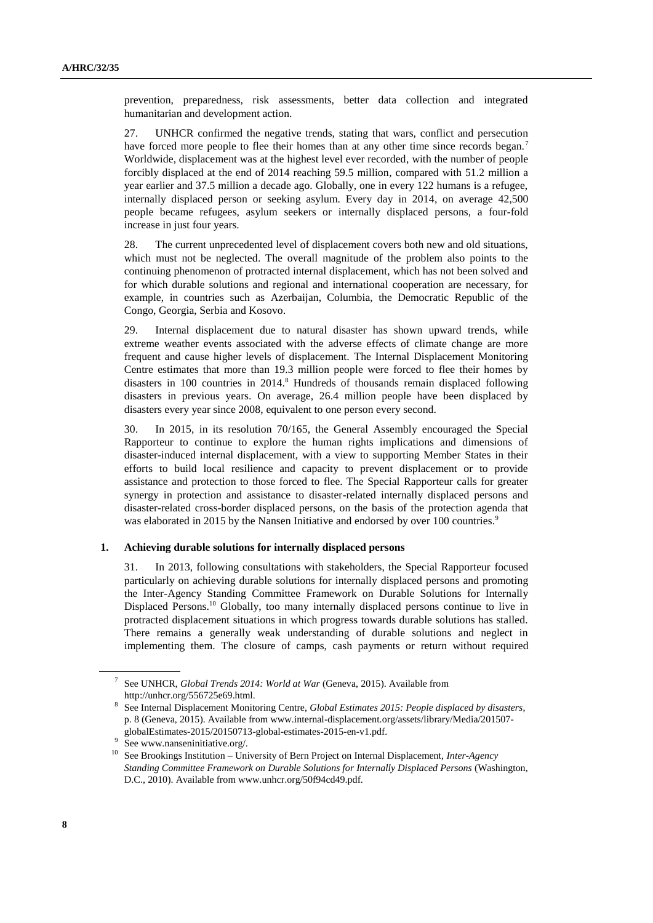prevention, preparedness, risk assessments, better data collection and integrated humanitarian and development action.

27. UNHCR confirmed the negative trends, stating that wars, conflict and persecution have forced more people to flee their homes than at any other time since records began.<sup>7</sup> Worldwide, displacement was at the highest level ever recorded, with the number of people forcibly displaced at the end of 2014 reaching 59.5 million, compared with 51.2 million a year earlier and 37.5 million a decade ago. Globally, one in every 122 humans is a refugee, internally displaced person or seeking asylum. Every day in 2014, on average 42,500 people became refugees, asylum seekers or internally displaced persons, a four-fold increase in just four years.

28. The current unprecedented level of displacement covers both new and old situations, which must not be neglected. The overall magnitude of the problem also points to the continuing phenomenon of protracted internal displacement, which has not been solved and for which durable solutions and regional and international cooperation are necessary, for example, in countries such as Azerbaijan, Columbia, the Democratic Republic of the Congo, Georgia, Serbia and Kosovo.

29. Internal displacement due to natural disaster has shown upward trends, while extreme weather events associated with the adverse effects of climate change are more frequent and cause higher levels of displacement. The Internal Displacement Monitoring Centre estimates that more than 19.3 million people were forced to flee their homes by disasters in 100 countries in 2014.<sup>8</sup> Hundreds of thousands remain displaced following disasters in previous years. On average, 26.4 million people have been displaced by disasters every year since 2008, equivalent to one person every second.

30. In 2015, in its resolution 70/165, the General Assembly encouraged the Special Rapporteur to continue to explore the human rights implications and dimensions of disaster-induced internal displacement, with a view to supporting Member States in their efforts to build local resilience and capacity to prevent displacement or to provide assistance and protection to those forced to flee. The Special Rapporteur calls for greater synergy in protection and assistance to disaster-related internally displaced persons and disaster-related cross-border displaced persons, on the basis of the protection agenda that was elaborated in 2015 by the Nansen Initiative and endorsed by over 100 countries.<sup>9</sup>

### **1. Achieving durable solutions for internally displaced persons**

31. In 2013, following consultations with stakeholders, the Special Rapporteur focused particularly on achieving durable solutions for internally displaced persons and promoting the Inter-Agency Standing Committee Framework on Durable Solutions for Internally Displaced Persons.<sup>10</sup> Globally, too many internally displaced persons continue to live in protracted displacement situations in which progress towards durable solutions has stalled. There remains a generally weak understanding of durable solutions and neglect in implementing them. The closure of camps, cash payments or return without required

<sup>7</sup> See UNHCR, *Global Trends 2014: World at War* (Geneva, 2015). Available from http://unhcr.org/556725e69.html.

<sup>8</sup> See Internal Displacement Monitoring Centre, *Global Estimates 2015: People displaced by disasters*, p. 8 (Geneva, 2015)[. Available](file://///conf-share1/conf/Groups/LING-Editing/Editing%20Section/HR%20editors/Ralph/Available) from www.internal-displacement.org/assets/library/Media/201507 globalEstimates-2015/20150713-global-estimates-2015-en-v1.pdf.

<sup>9</sup> See www.nanseninitiative.org/.

<sup>10</sup> See Brookings Institution – University of Bern Project on Internal Displacement, *Inter-Agency Standing Committee Framework on Durable Solutions for Internally Displaced Persons* (Washington, D.C., 2010). Available from www.unhcr.org/50f94cd49.pdf.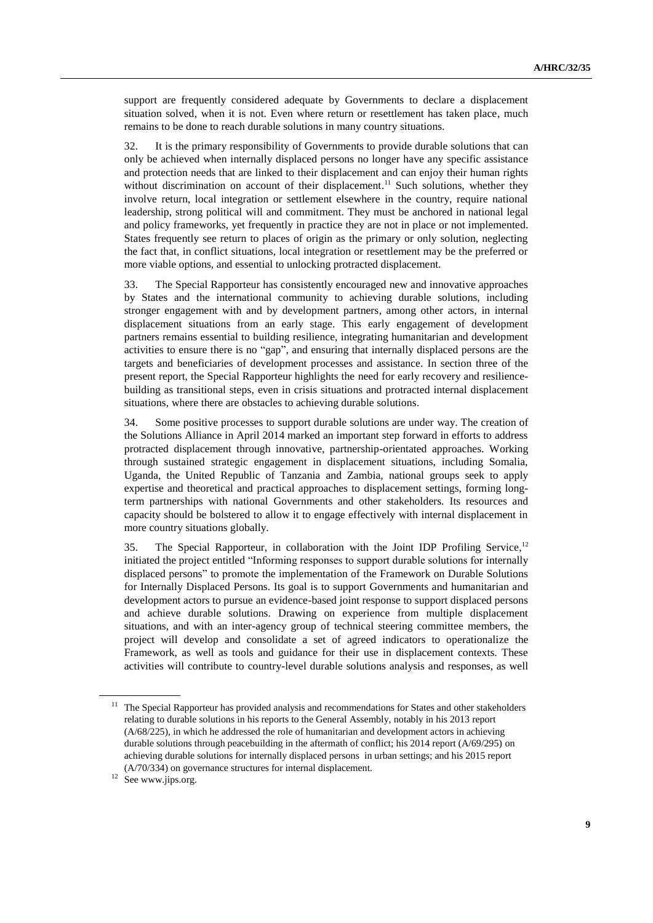support are frequently considered adequate by Governments to declare a displacement situation solved, when it is not. Even where return or resettlement has taken place, much remains to be done to reach durable solutions in many country situations.

32. It is the primary responsibility of Governments to provide durable solutions that can only be achieved when internally displaced persons no longer have any specific assistance and protection needs that are linked to their displacement and can enjoy their human rights without discrimination on account of their displacement.<sup>11</sup> Such solutions, whether they involve return, local integration or settlement elsewhere in the country, require national leadership, strong political will and commitment. They must be anchored in national legal and policy frameworks, yet frequently in practice they are not in place or not implemented. States frequently see return to places of origin as the primary or only solution, neglecting the fact that, in conflict situations, local integration or resettlement may be the preferred or more viable options, and essential to unlocking protracted displacement.

33. The Special Rapporteur has consistently encouraged new and innovative approaches by States and the international community to achieving durable solutions, including stronger engagement with and by development partners, among other actors, in internal displacement situations from an early stage. This early engagement of development partners remains essential to building resilience, integrating humanitarian and development activities to ensure there is no "gap", and ensuring that internally displaced persons are the targets and beneficiaries of development processes and assistance. In section three of the present report, the Special Rapporteur highlights the need for early recovery and resiliencebuilding as transitional steps, even in crisis situations and protracted internal displacement situations, where there are obstacles to achieving durable solutions.

34. Some positive processes to support durable solutions are under way. The creation of the Solutions Alliance in April 2014 marked an important step forward in efforts to address protracted displacement through innovative, partnership-orientated approaches. Working through sustained strategic engagement in displacement situations, including Somalia, Uganda, the United Republic of Tanzania and Zambia, national groups seek to apply expertise and theoretical and practical approaches to displacement settings, forming longterm partnerships with national Governments and other stakeholders. Its resources and capacity should be bolstered to allow it to engage effectively with internal displacement in more country situations globally.

35. The Special Rapporteur, in collaboration with the Joint IDP Profiling Service,<sup>12</sup> initiated the project entitled "Informing responses to support durable solutions for internally displaced persons" to promote the implementation of the Framework on Durable Solutions for Internally Displaced Persons. Its goal is to support Governments and humanitarian and development actors to pursue an evidence-based joint response to support displaced persons and achieve durable solutions. Drawing on experience from multiple displacement situations, and with an inter-agency group of technical steering committee members, the project will develop and consolidate a set of agreed indicators to operationalize the Framework, as well as tools and guidance for their use in displacement contexts. These activities will contribute to country-level durable solutions analysis and responses, as well

<sup>&</sup>lt;sup>11</sup> The Special Rapporteur has provided analysis and recommendations for States and other stakeholders relating to durable solutions in his reports to the General Assembly, notably in his 2013 report (A/68/225), in which he addressed the role of humanitarian and development actors in achieving durable solutions through peacebuilding in the aftermath of conflict; his 2014 report (A/69/295) on achieving durable solutions for internally displaced persons in urban settings; and his 2015 report (A/70/334) on governance structures for internal displacement.

<sup>&</sup>lt;sup>12</sup> See www.jips.org.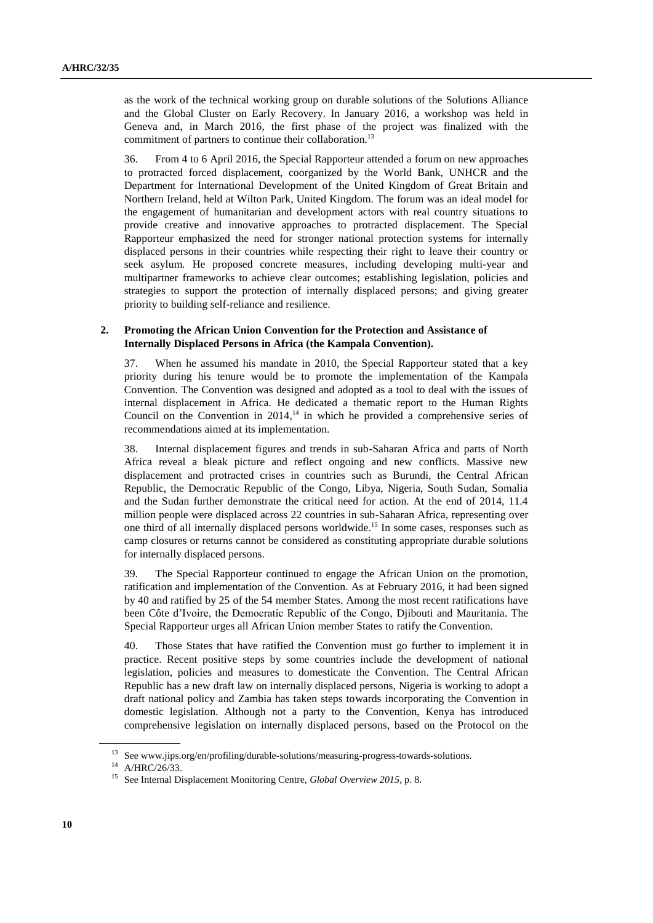as the work of the technical working group on durable solutions of the Solutions Alliance and the Global Cluster on Early Recovery. In January 2016, a workshop was held in Geneva and, in March 2016, the first phase of the project was finalized with the commitment of partners to continue their collaboration.<sup>13</sup>

36. From 4 to 6 April 2016, the Special Rapporteur attended a forum on new approaches to protracted forced displacement, coorganized by the World Bank, UNHCR and the Department for International Development of the United Kingdom of Great Britain and Northern Ireland, held at Wilton Park, United Kingdom. The forum was an ideal model for the engagement of humanitarian and development actors with real country situations to provide creative and innovative approaches to protracted displacement. The Special Rapporteur emphasized the need for stronger national protection systems for internally displaced persons in their countries while respecting their right to leave their country or seek asylum. He proposed concrete measures, including developing multi-year and multipartner frameworks to achieve clear outcomes; establishing legislation, policies and strategies to support the protection of internally displaced persons; and giving greater priority to building self-reliance and resilience.

### **2. Promoting the African Union Convention for the Protection and Assistance of Internally Displaced Persons in Africa (the Kampala Convention).**

37. When he assumed his mandate in 2010, the Special Rapporteur stated that a key priority during his tenure would be to promote the implementation of the Kampala Convention. The Convention was designed and adopted as a tool to deal with the issues of internal displacement in Africa. He dedicated a thematic report to the Human Rights Council on the Convention in 2014, <sup>14</sup> in which he provided a comprehensive series of recommendations aimed at its implementation.

38. Internal displacement figures and trends in sub-Saharan Africa and parts of North Africa reveal a bleak picture and reflect ongoing and new conflicts. Massive new displacement and protracted crises in countries such as Burundi, the Central African Republic, the Democratic Republic of the Congo, Libya, Nigeria, South Sudan, Somalia and the Sudan further demonstrate the critical need for action. At the end of 2014, 11.4 million people were displaced across 22 countries in sub-Saharan Africa, representing over one third of all internally displaced persons worldwide.<sup>15</sup> In some cases, responses such as camp closures or returns cannot be considered as constituting appropriate durable solutions for internally displaced persons.

39. The Special Rapporteur continued to engage the African Union on the promotion, ratification and implementation of the Convention. As at February 2016, it had been signed by 40 and ratified by 25 of the 54 member States. Among the most recent ratifications have been Côte d'Ivoire, the Democratic Republic of the Congo, Djibouti and Mauritania. The Special Rapporteur urges all African Union member States to ratify the Convention.

40. Those States that have ratified the Convention must go further to implement it in practice. Recent positive steps by some countries include the development of national legislation, policies and measures to domesticate the Convention. The Central African Republic has a new draft law on internally displaced persons, Nigeria is working to adopt a draft national policy and Zambia has taken steps towards incorporating the Convention in domestic legislation. Although not a party to the Convention, Kenya has introduced comprehensive legislation on internally displaced persons, based on the Protocol on the

 $^{13}\,$  Se[e www.jips.org/en/profiling/durable-solutions/measuring-](file://///conf-share1/conf/Groups/LING-Editing/Editing%20Section/HR%20editors/Ralph/www.jips.org/en/profiling/durable-solutions/measuring)progress-towards-solutions.

<sup>14</sup> A/HRC/26/33.

<sup>15</sup> See Internal Displacement Monitoring Centre, *Global Overview 2015*, p. 8.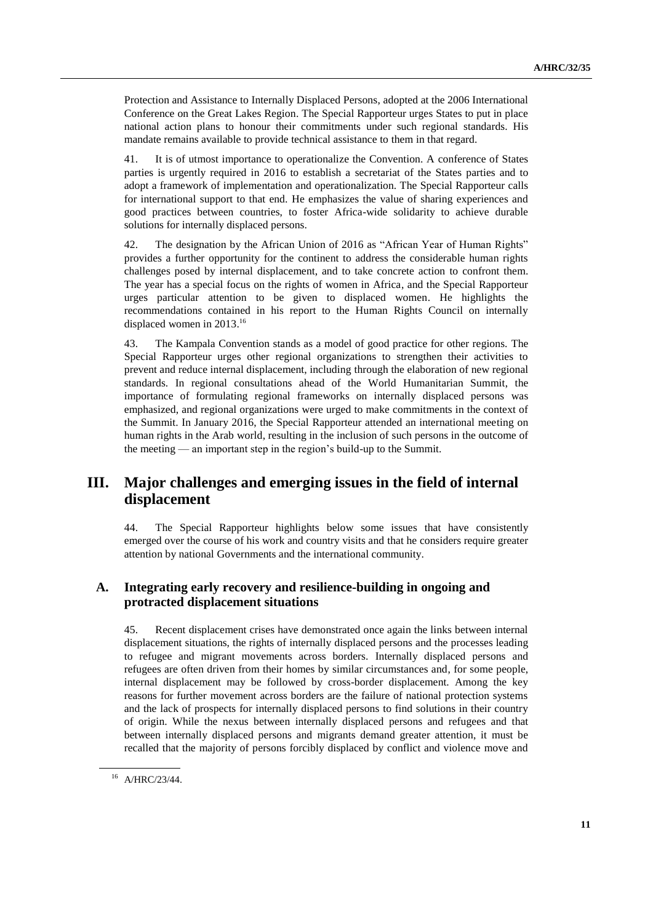Protection and Assistance to Internally Displaced Persons, adopted at the 2006 International Conference on the Great Lakes Region. The Special Rapporteur urges States to put in place national action plans to honour their commitments under such regional standards. His mandate remains available to provide technical assistance to them in that regard.

41. It is of utmost importance to operationalize the Convention. A conference of States parties is urgently required in 2016 to establish a secretariat of the States parties and to adopt a framework of implementation and operationalization. The Special Rapporteur calls for international support to that end. He emphasizes the value of sharing experiences and good practices between countries, to foster Africa-wide solidarity to achieve durable solutions for internally displaced persons.

42. The designation by the African Union of 2016 as "African Year of Human Rights" provides a further opportunity for the continent to address the considerable human rights challenges posed by internal displacement, and to take concrete action to confront them. The year has a special focus on the rights of women in Africa, and the Special Rapporteur urges particular attention to be given to displaced women. He highlights the recommendations contained in his report to the Human Rights Council on internally displaced women in 2013. 16

43. The Kampala Convention stands as a model of good practice for other regions. The Special Rapporteur urges other regional organizations to strengthen their activities to prevent and reduce internal displacement, including through the elaboration of new regional standards. In regional consultations ahead of the World Humanitarian Summit, the importance of formulating regional frameworks on internally displaced persons was emphasized, and regional organizations were urged to make commitments in the context of the Summit. In January 2016, the Special Rapporteur attended an international meeting on human rights in the Arab world, resulting in the inclusion of such persons in the outcome of the meeting — an important step in the region's build-up to the Summit.

## **III. Major challenges and emerging issues in the field of internal displacement**

44. The Special Rapporteur highlights below some issues that have consistently emerged over the course of his work and country visits and that he considers require greater attention by national Governments and the international community.

### **A. Integrating early recovery and resilience-building in ongoing and protracted displacement situations**

45. Recent displacement crises have demonstrated once again the links between internal displacement situations, the rights of internally displaced persons and the processes leading to refugee and migrant movements across borders. Internally displaced persons and refugees are often driven from their homes by similar circumstances and, for some people, internal displacement may be followed by cross-border displacement. Among the key reasons for further movement across borders are the failure of national protection systems and the lack of prospects for internally displaced persons to find solutions in their country of origin. While the nexus between internally displaced persons and refugees and that between internally displaced persons and migrants demand greater attention, it must be recalled that the majority of persons forcibly displaced by conflict and violence move and

<sup>16</sup> A/HRC/23/44.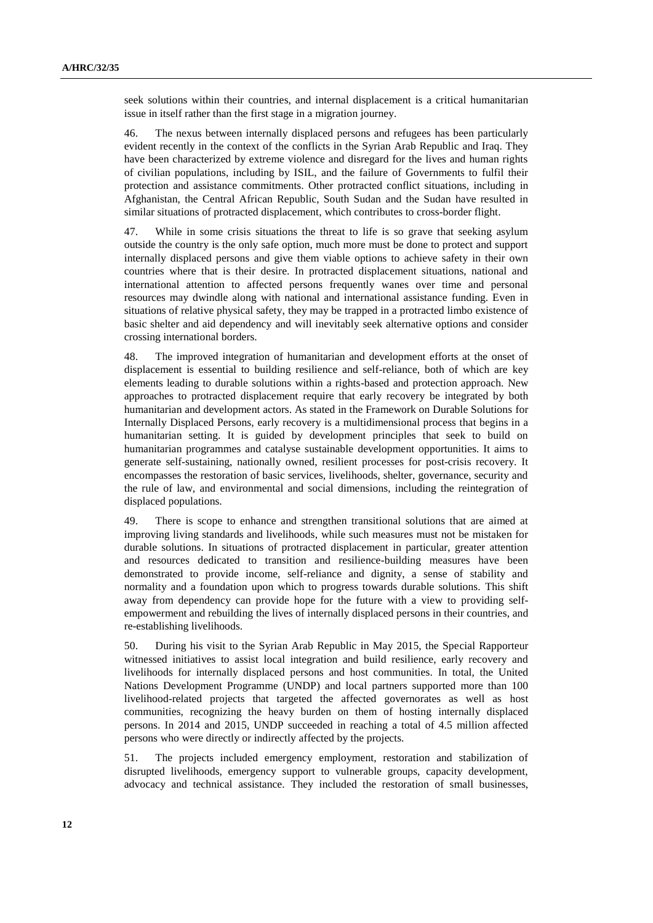seek solutions within their countries, and internal displacement is a critical humanitarian issue in itself rather than the first stage in a migration journey.

46. The nexus between internally displaced persons and refugees has been particularly evident recently in the context of the conflicts in the Syrian Arab Republic and Iraq. They have been characterized by extreme violence and disregard for the lives and human rights of civilian populations, including by ISIL, and the failure of Governments to fulfil their protection and assistance commitments. Other protracted conflict situations, including in Afghanistan, the Central African Republic, South Sudan and the Sudan have resulted in similar situations of protracted displacement, which contributes to cross-border flight.

47. While in some crisis situations the threat to life is so grave that seeking asylum outside the country is the only safe option, much more must be done to protect and support internally displaced persons and give them viable options to achieve safety in their own countries where that is their desire. In protracted displacement situations, national and international attention to affected persons frequently wanes over time and personal resources may dwindle along with national and international assistance funding. Even in situations of relative physical safety, they may be trapped in a protracted limbo existence of basic shelter and aid dependency and will inevitably seek alternative options and consider crossing international borders.

48. The improved integration of humanitarian and development efforts at the onset of displacement is essential to building resilience and self-reliance, both of which are key elements leading to durable solutions within a rights-based and protection approach. New approaches to protracted displacement require that early recovery be integrated by both humanitarian and development actors. As stated in the Framework on Durable Solutions for Internally Displaced Persons, early recovery is a multidimensional process that begins in a humanitarian setting. It is guided by development principles that seek to build on humanitarian programmes and catalyse sustainable development opportunities. It aims to generate self-sustaining, nationally owned, resilient processes for post-crisis recovery. It encompasses the restoration of basic services, livelihoods, shelter, governance, security and the rule of law, and environmental and social dimensions, including the reintegration of displaced populations.

49. There is scope to enhance and strengthen transitional solutions that are aimed at improving living standards and livelihoods, while such measures must not be mistaken for durable solutions. In situations of protracted displacement in particular, greater attention and resources dedicated to transition and resilience-building measures have been demonstrated to provide income, self-reliance and dignity, a sense of stability and normality and a foundation upon which to progress towards durable solutions. This shift away from dependency can provide hope for the future with a view to providing selfempowerment and rebuilding the lives of internally displaced persons in their countries, and re-establishing livelihoods.

50. During his visit to the Syrian Arab Republic in May 2015, the Special Rapporteur witnessed initiatives to assist local integration and build resilience, early recovery and livelihoods for internally displaced persons and host communities. In total, the United Nations Development Programme (UNDP) and local partners supported more than 100 livelihood-related projects that targeted the affected governorates as well as host communities, recognizing the heavy burden on them of hosting internally displaced persons. In 2014 and 2015, UNDP succeeded in reaching a total of 4.5 million affected persons who were directly or indirectly affected by the projects.

51. The projects included emergency employment, restoration and stabilization of disrupted livelihoods, emergency support to vulnerable groups, capacity development, advocacy and technical assistance. They included the restoration of small businesses,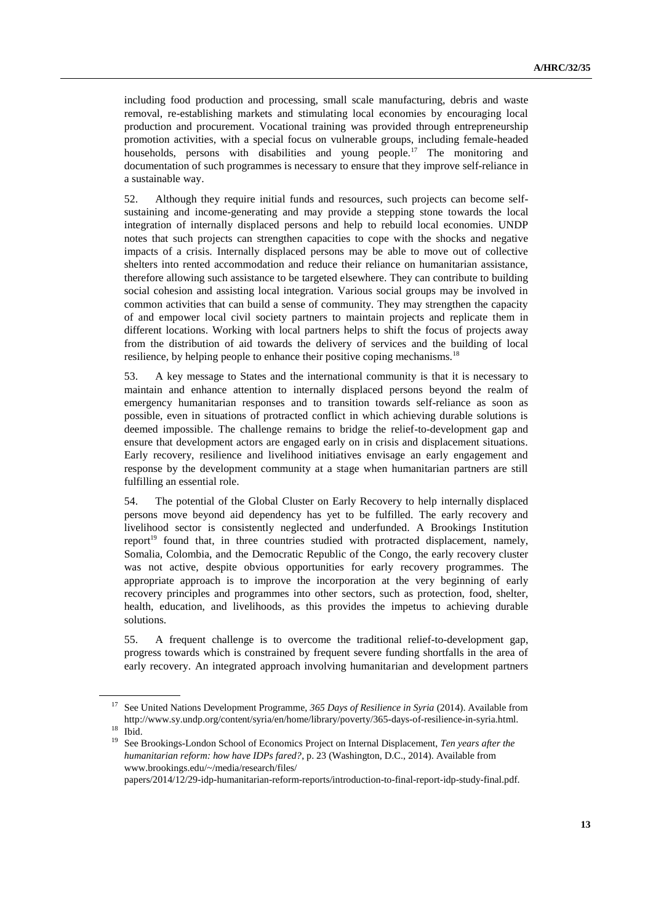including food production and processing, small scale manufacturing, debris and waste removal, re-establishing markets and stimulating local economies by encouraging local production and procurement. Vocational training was provided through entrepreneurship promotion activities, with a special focus on vulnerable groups, including female-headed households, persons with disabilities and young people.<sup>17</sup> The monitoring and documentation of such programmes is necessary to ensure that they improve self-reliance in a sustainable way.

52. Although they require initial funds and resources, such projects can become selfsustaining and income-generating and may provide a stepping stone towards the local integration of internally displaced persons and help to rebuild local economies. UNDP notes that such projects can strengthen capacities to cope with the shocks and negative impacts of a crisis. Internally displaced persons may be able to move out of collective shelters into rented accommodation and reduce their reliance on humanitarian assistance, therefore allowing such assistance to be targeted elsewhere. They can contribute to building social cohesion and assisting local integration. Various social groups may be involved in common activities that can build a sense of community. They may strengthen the capacity of and empower local civil society partners to maintain projects and replicate them in different locations. Working with local partners helps to shift the focus of projects away from the distribution of aid towards the delivery of services and the building of local resilience, by helping people to enhance their positive coping mechanisms.<sup>18</sup>

53. A key message to States and the international community is that it is necessary to maintain and enhance attention to internally displaced persons beyond the realm of emergency humanitarian responses and to transition towards self-reliance as soon as possible, even in situations of protracted conflict in which achieving durable solutions is deemed impossible. The challenge remains to bridge the relief-to-development gap and ensure that development actors are engaged early on in crisis and displacement situations. Early recovery, resilience and livelihood initiatives envisage an early engagement and response by the development community at a stage when humanitarian partners are still fulfilling an essential role.

54. The potential of the Global Cluster on Early Recovery to help internally displaced persons move beyond aid dependency has yet to be fulfilled. The early recovery and livelihood sector is consistently neglected and underfunded. A Brookings Institution report<sup>19</sup> found that, in three countries studied with protracted displacement, namely, Somalia, Colombia, and the Democratic Republic of the Congo, the early recovery cluster was not active, despite obvious opportunities for early recovery programmes. The appropriate approach is to improve the incorporation at the very beginning of early recovery principles and programmes into other sectors, such as protection, food, shelter, health, education, and livelihoods, as this provides the impetus to achieving durable solutions.

55. A frequent challenge is to overcome the traditional relief-to-development gap, progress towards which is constrained by frequent severe funding shortfalls in the area of early recovery. An integrated approach involving humanitarian and development partners

[papers/2014/12/29-idp-humanitarian-reform-reports/introduction-to-final-report-idp-study-final.pdf.](file://///conf-share1/conf/Groups/LING-Editing/Editing%20Section/HR%20editors/Ralph/www.brookings.edu/~/media/research/files/papers/2014/12/29-idp-humanitarian-reform-reports/introduction-to-final-report-idp-study-final.pdf)

<sup>&</sup>lt;sup>17</sup> See United Nations Development Programme, 365 Days of Resilience in Syria (2014). Available from http://www.sy.undp.org/content/syria/en/home/library/poverty/365-days-of-resilience-in-syria.html. <sup>18</sup> Ibid.

<sup>19</sup> See Brookings-London School of Economics Project on Internal Displacement, *Ten years after the humanitarian reform: how have IDPs fared?*, p. 23 (Washington, D.C., 2014). Available from [www.brookings.edu/~/media/research/files/](file://///conf-share1/conf/Groups/LING-Editing/Editing%20Section/HR%20editors/Ralph/www.brookings.edu/~/media/research/files/papers/2014/12/29-idp-humanitarian-reform-reports/introduction-to-final-report-idp-study-final.pdf)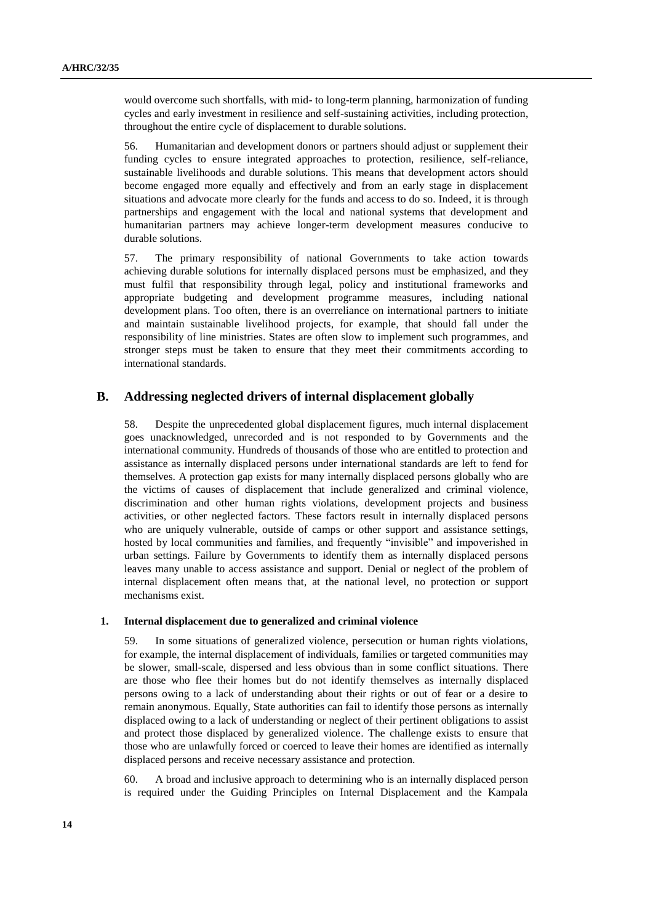would overcome such shortfalls, with mid- to long-term planning, harmonization of funding cycles and early investment in resilience and self-sustaining activities, including protection, throughout the entire cycle of displacement to durable solutions.

56. Humanitarian and development donors or partners should adjust or supplement their funding cycles to ensure integrated approaches to protection, resilience, self-reliance, sustainable livelihoods and durable solutions. This means that development actors should become engaged more equally and effectively and from an early stage in displacement situations and advocate more clearly for the funds and access to do so. Indeed, it is through partnerships and engagement with the local and national systems that development and humanitarian partners may achieve longer-term development measures conducive to durable solutions.

57. The primary responsibility of national Governments to take action towards achieving durable solutions for internally displaced persons must be emphasized, and they must fulfil that responsibility through legal, policy and institutional frameworks and appropriate budgeting and development programme measures, including national development plans. Too often, there is an overreliance on international partners to initiate and maintain sustainable livelihood projects, for example, that should fall under the responsibility of line ministries. States are often slow to implement such programmes, and stronger steps must be taken to ensure that they meet their commitments according to international standards.

### **B. Addressing neglected drivers of internal displacement globally**

58. Despite the unprecedented global displacement figures, much internal displacement goes unacknowledged, unrecorded and is not responded to by Governments and the international community. Hundreds of thousands of those who are entitled to protection and assistance as internally displaced persons under international standards are left to fend for themselves. A protection gap exists for many internally displaced persons globally who are the victims of causes of displacement that include generalized and criminal violence, discrimination and other human rights violations, development projects and business activities, or other neglected factors. These factors result in internally displaced persons who are uniquely vulnerable, outside of camps or other support and assistance settings, hosted by local communities and families, and frequently "invisible" and impoverished in urban settings. Failure by Governments to identify them as internally displaced persons leaves many unable to access assistance and support. Denial or neglect of the problem of internal displacement often means that, at the national level, no protection or support mechanisms exist.

#### **1. Internal displacement due to generalized and criminal violence**

59. In some situations of generalized violence, persecution or human rights violations, for example, the internal displacement of individuals, families or targeted communities may be slower, small-scale, dispersed and less obvious than in some conflict situations. There are those who flee their homes but do not identify themselves as internally displaced persons owing to a lack of understanding about their rights or out of fear or a desire to remain anonymous. Equally, State authorities can fail to identify those persons as internally displaced owing to a lack of understanding or neglect of their pertinent obligations to assist and protect those displaced by generalized violence. The challenge exists to ensure that those who are unlawfully forced or coerced to leave their homes are identified as internally displaced persons and receive necessary assistance and protection.

60. A broad and inclusive approach to determining who is an internally displaced person is required under the Guiding Principles on Internal Displacement and the Kampala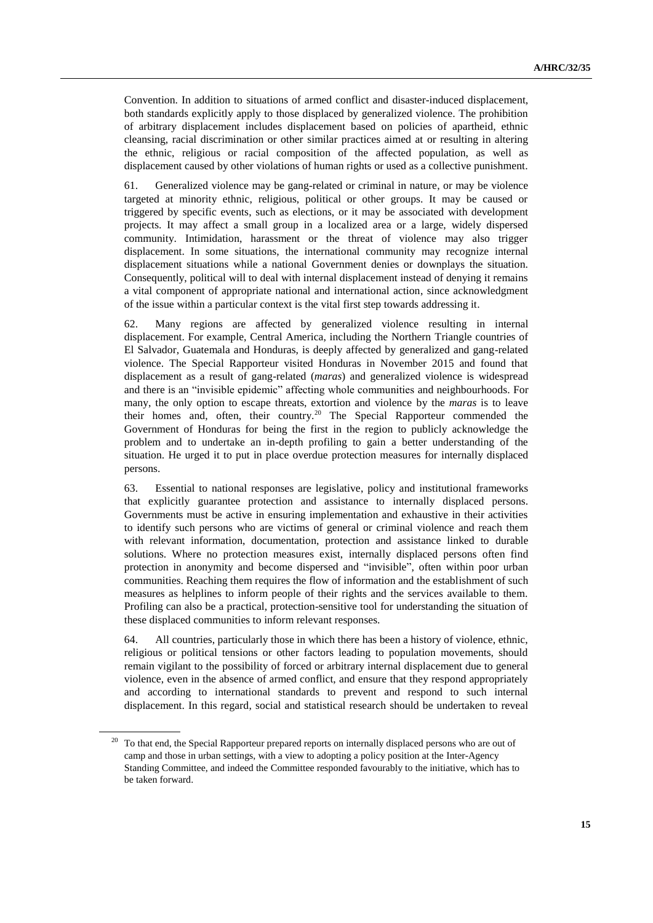Convention. In addition to situations of armed conflict and disaster-induced displacement, both standards explicitly apply to those displaced by generalized violence. The prohibition of arbitrary displacement includes displacement based on policies of apartheid, ethnic cleansing, racial discrimination or other similar practices aimed at or resulting in altering the ethnic, religious or racial composition of the affected population, as well as displacement caused by other violations of human rights or used as a collective punishment.

61. Generalized violence may be gang-related or criminal in nature, or may be violence targeted at minority ethnic, religious, political or other groups. It may be caused or triggered by specific events, such as elections, or it may be associated with development projects. It may affect a small group in a localized area or a large, widely dispersed community. Intimidation, harassment or the threat of violence may also trigger displacement. In some situations, the international community may recognize internal displacement situations while a national Government denies or downplays the situation. Consequently, political will to deal with internal displacement instead of denying it remains a vital component of appropriate national and international action, since acknowledgment of the issue within a particular context is the vital first step towards addressing it.

62. Many regions are affected by generalized violence resulting in internal displacement. For example, Central America, including the Northern Triangle countries of El Salvador, Guatemala and Honduras, is deeply affected by generalized and gang-related violence. The Special Rapporteur visited Honduras in November 2015 and found that displacement as a result of gang-related (*maras*) and generalized violence is widespread and there is an "invisible epidemic" affecting whole communities and neighbourhoods. For many, the only option to escape threats, extortion and violence by the *maras* is to leave their homes and, often, their country.<sup>20</sup> The Special Rapporteur commended the Government of Honduras for being the first in the region to publicly acknowledge the problem and to undertake an in-depth profiling to gain a better understanding of the situation. He urged it to put in place overdue protection measures for internally displaced persons.

63. Essential to national responses are legislative, policy and institutional frameworks that explicitly guarantee protection and assistance to internally displaced persons. Governments must be active in ensuring implementation and exhaustive in their activities to identify such persons who are victims of general or criminal violence and reach them with relevant information, documentation, protection and assistance linked to durable solutions. Where no protection measures exist, internally displaced persons often find protection in anonymity and become dispersed and "invisible", often within poor urban communities. Reaching them requires the flow of information and the establishment of such measures as helplines to inform people of their rights and the services available to them. Profiling can also be a practical, protection-sensitive tool for understanding the situation of these displaced communities to inform relevant responses.

64. All countries, particularly those in which there has been a history of violence, ethnic, religious or political tensions or other factors leading to population movements, should remain vigilant to the possibility of forced or arbitrary internal displacement due to general violence, even in the absence of armed conflict, and ensure that they respond appropriately and according to international standards to prevent and respond to such internal displacement. In this regard, social and statistical research should be undertaken to reveal

<sup>&</sup>lt;sup>20</sup> To that end, the Special Rapporteur prepared reports on internally displaced persons who are out of camp and those in urban settings, with a view to adopting a policy position at the Inter-Agency Standing Committee, and indeed the Committee responded favourably to the initiative, which has to be taken forward.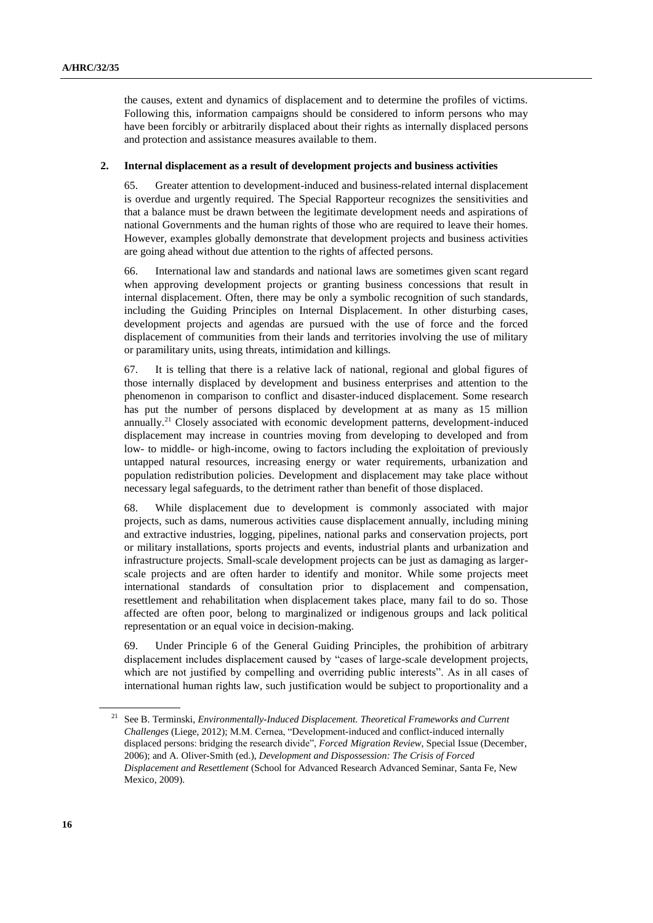the causes, extent and dynamics of displacement and to determine the profiles of victims. Following this, information campaigns should be considered to inform persons who may have been forcibly or arbitrarily displaced about their rights as internally displaced persons and protection and assistance measures available to them.

#### **2. Internal displacement as a result of development projects and business activities**

65. Greater attention to development-induced and business-related internal displacement is overdue and urgently required. The Special Rapporteur recognizes the sensitivities and that a balance must be drawn between the legitimate development needs and aspirations of national Governments and the human rights of those who are required to leave their homes. However, examples globally demonstrate that development projects and business activities are going ahead without due attention to the rights of affected persons.

66. International law and standards and national laws are sometimes given scant regard when approving development projects or granting business concessions that result in internal displacement. Often, there may be only a symbolic recognition of such standards, including the Guiding Principles on Internal Displacement. In other disturbing cases, development projects and agendas are pursued with the use of force and the forced displacement of communities from their lands and territories involving the use of military or paramilitary units, using threats, intimidation and killings.

67. It is telling that there is a relative lack of national, regional and global figures of those internally displaced by development and business enterprises and attention to the phenomenon in comparison to conflict and disaster-induced displacement. Some research has put the number of persons displaced by development at as many as 15 million annually.<sup>21</sup> Closely associated with economic development patterns, development-induced displacement may increase in countries moving from developing to developed and from low- to middle- or high-income, owing to factors including the exploitation of previously untapped natural resources, increasing energy or water requirements, urbanization and population redistribution policies. Development and displacement may take place without necessary legal safeguards, to the detriment rather than benefit of those displaced.

68. While displacement due to development is commonly associated with major projects, such as dams, numerous activities cause displacement annually, including mining and extractive industries, logging, pipelines, national parks and conservation projects, port or military installations, sports projects and events, industrial plants and urbanization and infrastructure projects. Small-scale development projects can be just as damaging as largerscale projects and are often harder to identify and monitor. While some projects meet international standards of consultation prior to displacement and compensation, resettlement and rehabilitation when displacement takes place, many fail to do so. Those affected are often poor, belong to marginalized or indigenous groups and lack political representation or an equal voice in decision-making.

69. Under Principle 6 of the General Guiding Principles, the prohibition of arbitrary displacement includes displacement caused by "cases of large-scale development projects, which are not justified by compelling and overriding public interests". As in all cases of international human rights law, such justification would be subject to proportionality and a

<sup>21</sup> See B. Terminski, *Environmentally-Induced Displacement. Theoretical Frameworks and Current Challenges* (Liege, 2012); M.M. Cernea, "Development-induced and conflict-induced internally displaced persons: bridging the research divide", *Forced Migration Review*, Special Issue (December, 2006); and A. Oliver-Smith (ed.), *Development and Dispossession: The Crisis of Forced Displacement and Resettlement* (School for Advanced Research Advanced Seminar, Santa Fe, New Mexico, 2009).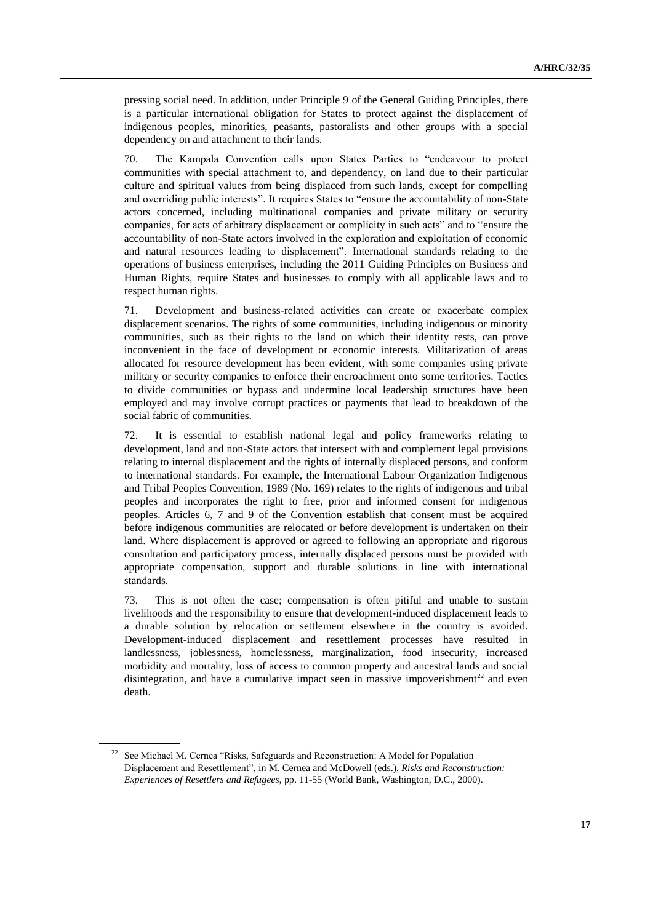pressing social need. In addition, under Principle 9 of the General Guiding Principles, there is a particular international obligation for States to protect against the displacement of indigenous peoples, minorities, peasants, pastoralists and other groups with a special dependency on and attachment to their lands.

70. The Kampala Convention calls upon States Parties to "endeavour to protect communities with special attachment to, and dependency, on land due to their particular culture and spiritual values from being displaced from such lands, except for compelling and overriding public interests". It requires States to "ensure the accountability of non-State actors concerned, including multinational companies and private military or security companies, for acts of arbitrary displacement or complicity in such acts" and to "ensure the accountability of non-State actors involved in the exploration and exploitation of economic and natural resources leading to displacement". International standards relating to the operations of business enterprises, including the 2011 Guiding Principles on Business and Human Rights, require States and businesses to comply with all applicable laws and to respect human rights.

71. Development and business-related activities can create or exacerbate complex displacement scenarios. The rights of some communities, including indigenous or minority communities, such as their rights to the land on which their identity rests, can prove inconvenient in the face of development or economic interests. Militarization of areas allocated for resource development has been evident, with some companies using private military or security companies to enforce their encroachment onto some territories. Tactics to divide communities or bypass and undermine local leadership structures have been employed and may involve corrupt practices or payments that lead to breakdown of the social fabric of communities.

72. It is essential to establish national legal and policy frameworks relating to development, land and non-State actors that intersect with and complement legal provisions relating to internal displacement and the rights of internally displaced persons, and conform to international standards. For example, the International Labour Organization Indigenous and Tribal Peoples Convention, 1989 (No. 169) relates to the rights of indigenous and tribal peoples and incorporates the right to free, prior and informed consent for indigenous peoples. Articles 6, 7 and 9 of the Convention establish that consent must be acquired before indigenous communities are relocated or before development is undertaken on their land. Where displacement is approved or agreed to following an appropriate and rigorous consultation and participatory process, internally displaced persons must be provided with appropriate compensation, support and durable solutions in line with international standards.

73. This is not often the case; compensation is often pitiful and unable to sustain livelihoods and the responsibility to ensure that development-induced displacement leads to a durable solution by relocation or settlement elsewhere in the country is avoided. Development-induced displacement and resettlement processes have resulted in landlessness, joblessness, homelessness, marginalization, food insecurity, increased morbidity and mortality, loss of access to common property and ancestral lands and social disintegration, and have a cumulative impact seen in massive impoverishment<sup>22</sup> and even death.

<sup>&</sup>lt;sup>22</sup> See Michael M. Cernea "Risks, Safeguards and Reconstruction: A Model for Population Displacement and Resettlement", in M. Cernea and McDowell (eds.), *Risks and Reconstruction: Experiences of Resettlers and Refugees*, pp. 11-55 (World Bank, Washington, D.C., 2000).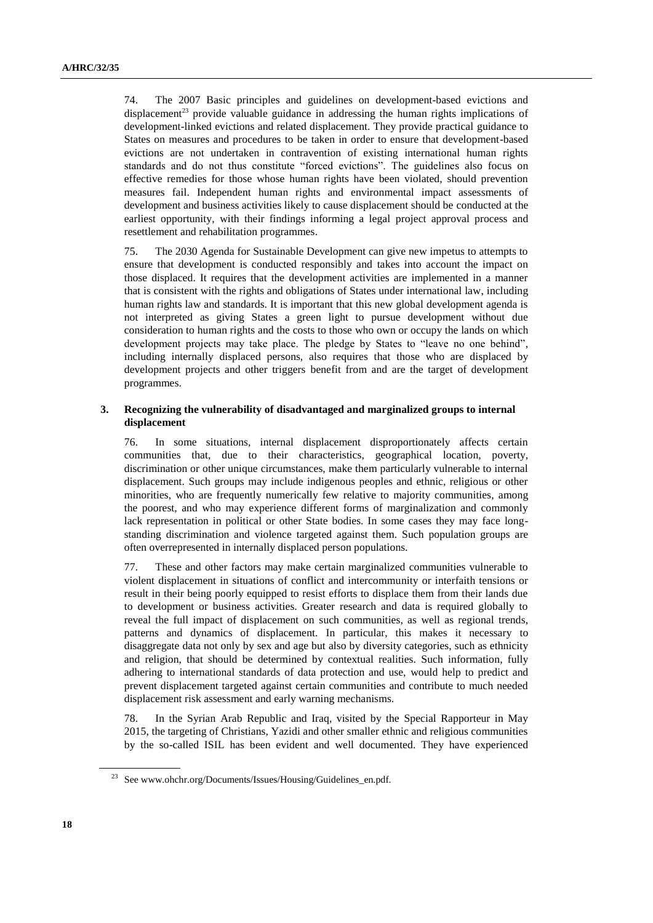74. The 2007 Basic principles and guidelines on development-based evictions and displacement<sup>23</sup> provide valuable guidance in addressing the human rights implications of development-linked evictions and related displacement. They provide practical guidance to States on measures and procedures to be taken in order to ensure that development-based evictions are not undertaken in contravention of existing international human rights standards and do not thus constitute "forced evictions". The guidelines also focus on effective remedies for those whose human rights have been violated, should prevention measures fail. Independent human rights and environmental impact assessments of development and business activities likely to cause displacement should be conducted at the earliest opportunity, with their findings informing a legal project approval process and resettlement and rehabilitation programmes.

75. The 2030 Agenda for Sustainable Development can give new impetus to attempts to ensure that development is conducted responsibly and takes into account the impact on those displaced. It requires that the development activities are implemented in a manner that is consistent with the rights and obligations of States under international law, including human rights law and standards. It is important that this new global development agenda is not interpreted as giving States a green light to pursue development without due consideration to human rights and the costs to those who own or occupy the lands on which development projects may take place. The pledge by States to "leave no one behind", including internally displaced persons, also requires that those who are displaced by development projects and other triggers benefit from and are the target of development programmes.

#### **3. Recognizing the vulnerability of disadvantaged and marginalized groups to internal displacement**

76. In some situations, internal displacement disproportionately affects certain communities that, due to their characteristics, geographical location, poverty, discrimination or other unique circumstances, make them particularly vulnerable to internal displacement. Such groups may include indigenous peoples and ethnic, religious or other minorities, who are frequently numerically few relative to majority communities, among the poorest, and who may experience different forms of marginalization and commonly lack representation in political or other State bodies. In some cases they may face longstanding discrimination and violence targeted against them. Such population groups are often overrepresented in internally displaced person populations.

77. These and other factors may make certain marginalized communities vulnerable to violent displacement in situations of conflict and intercommunity or interfaith tensions or result in their being poorly equipped to resist efforts to displace them from their lands due to development or business activities. Greater research and data is required globally to reveal the full impact of displacement on such communities, as well as regional trends, patterns and dynamics of displacement. In particular, this makes it necessary to disaggregate data not only by sex and age but also by diversity categories, such as ethnicity and religion, that should be determined by contextual realities. Such information, fully adhering to international standards of data protection and use, would help to predict and prevent displacement targeted against certain communities and contribute to much needed displacement risk assessment and early warning mechanisms.

78. In the Syrian Arab Republic and Iraq, visited by the Special Rapporteur in May 2015, the targeting of Christians, Yazidi and other smaller ethnic and religious communities by the so-called ISIL has been evident and well documented. They have experienced

<sup>23</sup> See www.ohchr.org/Documents/Issues/Housing/Guidelines\_en.pdf.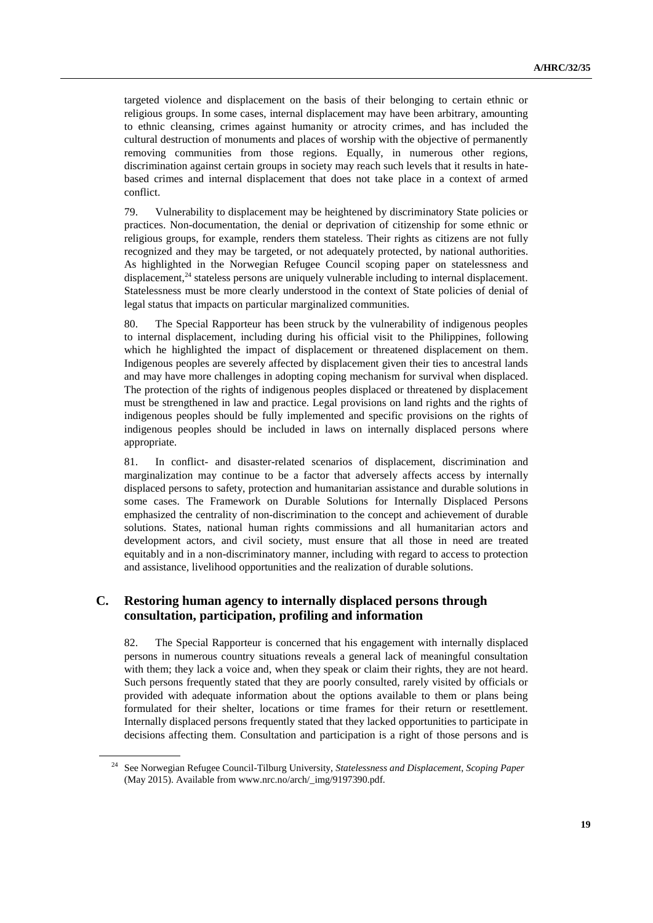targeted violence and displacement on the basis of their belonging to certain ethnic or religious groups. In some cases, internal displacement may have been arbitrary, amounting to ethnic cleansing, crimes against humanity or atrocity crimes, and has included the cultural destruction of monuments and places of worship with the objective of permanently removing communities from those regions. Equally, in numerous other regions, discrimination against certain groups in society may reach such levels that it results in hatebased crimes and internal displacement that does not take place in a context of armed conflict.

79. Vulnerability to displacement may be heightened by discriminatory State policies or practices. Non-documentation, the denial or deprivation of citizenship for some ethnic or religious groups, for example, renders them stateless. Their rights as citizens are not fully recognized and they may be targeted, or not adequately protected, by national authorities. As highlighted in the Norwegian Refugee Council scoping paper on statelessness and displacement, $^{24}$  stateless persons are uniquely vulnerable including to internal displacement. Statelessness must be more clearly understood in the context of State policies of denial of legal status that impacts on particular marginalized communities.

80. The Special Rapporteur has been struck by the vulnerability of indigenous peoples to internal displacement, including during his official visit to the Philippines, following which he highlighted the impact of displacement or threatened displacement on them. Indigenous peoples are severely affected by displacement given their ties to ancestral lands and may have more challenges in adopting coping mechanism for survival when displaced. The protection of the rights of indigenous peoples displaced or threatened by displacement must be strengthened in law and practice. Legal provisions on land rights and the rights of indigenous peoples should be fully implemented and specific provisions on the rights of indigenous peoples should be included in laws on internally displaced persons where appropriate.

81. In conflict- and disaster-related scenarios of displacement, discrimination and marginalization may continue to be a factor that adversely affects access by internally displaced persons to safety, protection and humanitarian assistance and durable solutions in some cases. The Framework on Durable Solutions for Internally Displaced Persons emphasized the centrality of non-discrimination to the concept and achievement of durable solutions. States, national human rights commissions and all humanitarian actors and development actors, and civil society, must ensure that all those in need are treated equitably and in a non-discriminatory manner, including with regard to access to protection and assistance, livelihood opportunities and the realization of durable solutions.

### **C. Restoring human agency to internally displaced persons through consultation, participation, profiling and information**

82. The Special Rapporteur is concerned that his engagement with internally displaced persons in numerous country situations reveals a general lack of meaningful consultation with them; they lack a voice and, when they speak or claim their rights, they are not heard. Such persons frequently stated that they are poorly consulted, rarely visited by officials or provided with adequate information about the options available to them or plans being formulated for their shelter, locations or time frames for their return or resettlement. Internally displaced persons frequently stated that they lacked opportunities to participate in decisions affecting them. Consultation and participation is a right of those persons and is

<sup>24</sup> See Norwegian Refugee Council-Tilburg University, *Statelessness and Displacement, Scoping Paper* (May 2015). Available from www.nrc.no/arch/\_img/9197390.pdf.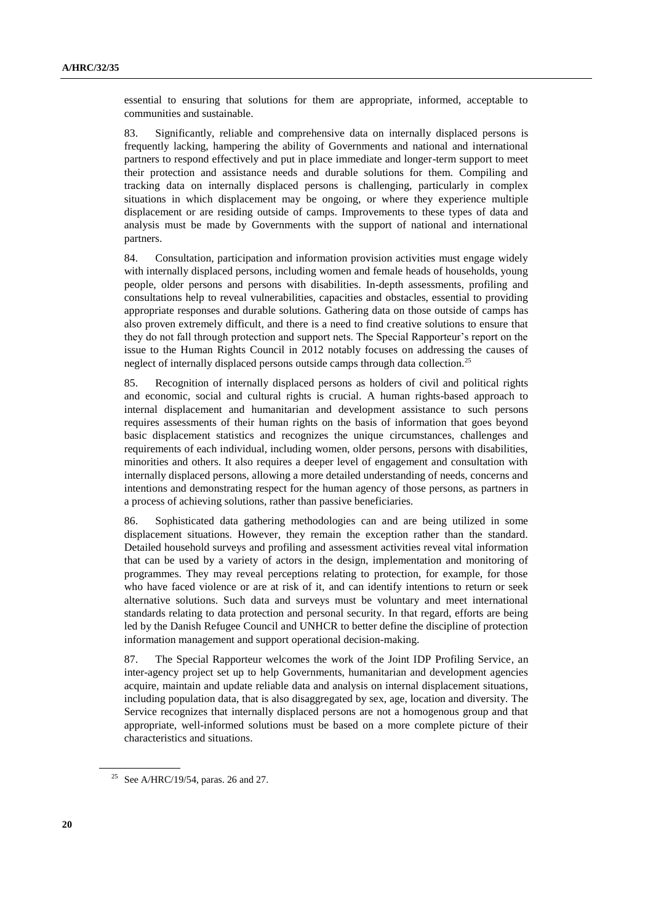essential to ensuring that solutions for them are appropriate, informed, acceptable to communities and sustainable.

83. Significantly, reliable and comprehensive data on internally displaced persons is frequently lacking, hampering the ability of Governments and national and international partners to respond effectively and put in place immediate and longer-term support to meet their protection and assistance needs and durable solutions for them. Compiling and tracking data on internally displaced persons is challenging, particularly in complex situations in which displacement may be ongoing, or where they experience multiple displacement or are residing outside of camps. Improvements to these types of data and analysis must be made by Governments with the support of national and international partners.

84. Consultation, participation and information provision activities must engage widely with internally displaced persons, including women and female heads of households, young people, older persons and persons with disabilities. In-depth assessments, profiling and consultations help to reveal vulnerabilities, capacities and obstacles, essential to providing appropriate responses and durable solutions. Gathering data on those outside of camps has also proven extremely difficult, and there is a need to find creative solutions to ensure that they do not fall through protection and support nets. The Special Rapporteur's report on the issue to the Human Rights Council in 2012 notably focuses on addressing the causes of neglect of internally displaced persons outside camps through data collection.<sup>25</sup>

85. Recognition of internally displaced persons as holders of civil and political rights and economic, social and cultural rights is crucial. A human rights-based approach to internal displacement and humanitarian and development assistance to such persons requires assessments of their human rights on the basis of information that goes beyond basic displacement statistics and recognizes the unique circumstances, challenges and requirements of each individual, including women, older persons, persons with disabilities, minorities and others. It also requires a deeper level of engagement and consultation with internally displaced persons, allowing a more detailed understanding of needs, concerns and intentions and demonstrating respect for the human agency of those persons, as partners in a process of achieving solutions, rather than passive beneficiaries.

86. Sophisticated data gathering methodologies can and are being utilized in some displacement situations. However, they remain the exception rather than the standard. Detailed household surveys and profiling and assessment activities reveal vital information that can be used by a variety of actors in the design, implementation and monitoring of programmes. They may reveal perceptions relating to protection, for example, for those who have faced violence or are at risk of it, and can identify intentions to return or seek alternative solutions. Such data and surveys must be voluntary and meet international standards relating to data protection and personal security. In that regard, efforts are being led by the Danish Refugee Council and UNHCR to better define the discipline of protection information management and support operational decision-making.

87. The Special Rapporteur welcomes the work of the Joint IDP Profiling Service, an inter-agency project set up to help Governments, humanitarian and development agencies acquire, maintain and update reliable data and analysis on internal displacement situations, including population data, that is also disaggregated by sex, age, location and diversity. The Service recognizes that internally displaced persons are not a homogenous group and that appropriate, well-informed solutions must be based on a more complete picture of their characteristics and situations.

<sup>&</sup>lt;sup>25</sup> See A/HRC/19/54, paras. 26 and 27.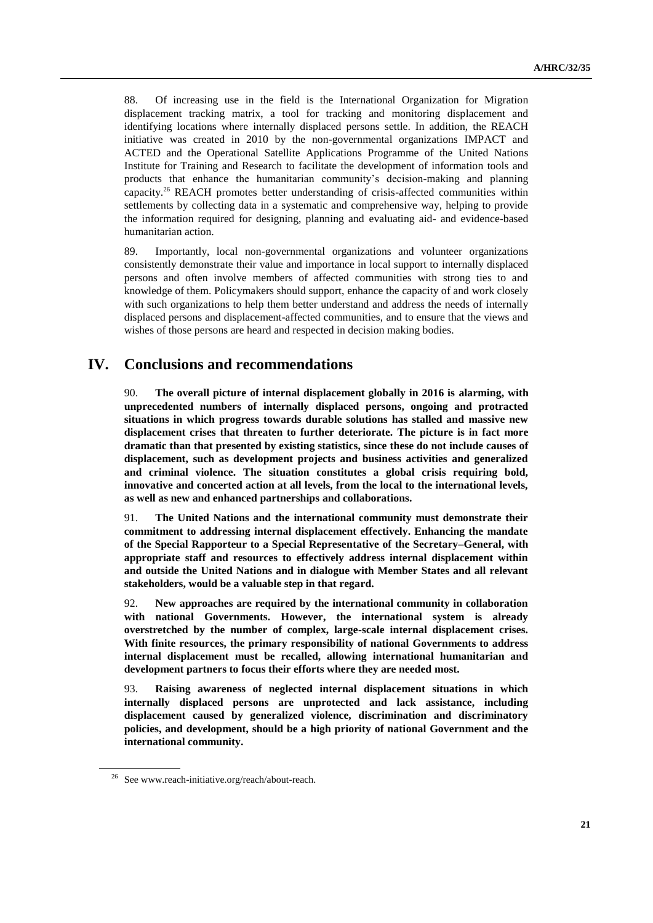88. Of increasing use in the field is the International Organization for Migration displacement tracking matrix, a tool for tracking and monitoring displacement and identifying locations where internally displaced persons settle. In addition, the REACH initiative was created in 2010 by the non-governmental organizations IMPACT and ACTED and the Operational Satellite Applications Programme of the United Nations Institute for Training and Research to facilitate the development of information tools and products that enhance the humanitarian community's decision-making and planning capacity.<sup>26</sup> REACH promotes better understanding of crisis-affected communities within settlements by collecting data in a systematic and comprehensive way, helping to provide the information required for designing, planning and evaluating aid- and evidence-based humanitarian action.

89. Importantly, local non-governmental organizations and volunteer organizations consistently demonstrate their value and importance in local support to internally displaced persons and often involve members of affected communities with strong ties to and knowledge of them. Policymakers should support, enhance the capacity of and work closely with such organizations to help them better understand and address the needs of internally displaced persons and displacement-affected communities, and to ensure that the views and wishes of those persons are heard and respected in decision making bodies.

## **IV. Conclusions and recommendations**

90. **The overall picture of internal displacement globally in 2016 is alarming, with unprecedented numbers of internally displaced persons, ongoing and protracted situations in which progress towards durable solutions has stalled and massive new displacement crises that threaten to further deteriorate. The picture is in fact more dramatic than that presented by existing statistics, since these do not include causes of displacement, such as development projects and business activities and generalized and criminal violence. The situation constitutes a global crisis requiring bold, innovative and concerted action at all levels, from the local to the international levels, as well as new and enhanced partnerships and collaborations.** 

91. **The United Nations and the international community must demonstrate their commitment to addressing internal displacement effectively. Enhancing the mandate of the Special Rapporteur to a Special Representative of the Secretary–General, with appropriate staff and resources to effectively address internal displacement within and outside the United Nations and in dialogue with Member States and all relevant stakeholders, would be a valuable step in that regard.**

92. **New approaches are required by the international community in collaboration with national Governments. However, the international system is already overstretched by the number of complex, large-scale internal displacement crises. With finite resources, the primary responsibility of national Governments to address internal displacement must be recalled, allowing international humanitarian and development partners to focus their efforts where they are needed most.** 

93. **Raising awareness of neglected internal displacement situations in which internally displaced persons are unprotected and lack assistance, including displacement caused by generalized violence, discrimination and discriminatory policies, and development, should be a high priority of national Government and the international community.** 

<sup>&</sup>lt;sup>26</sup> See www.reach-initiative.org/reach/about-reach.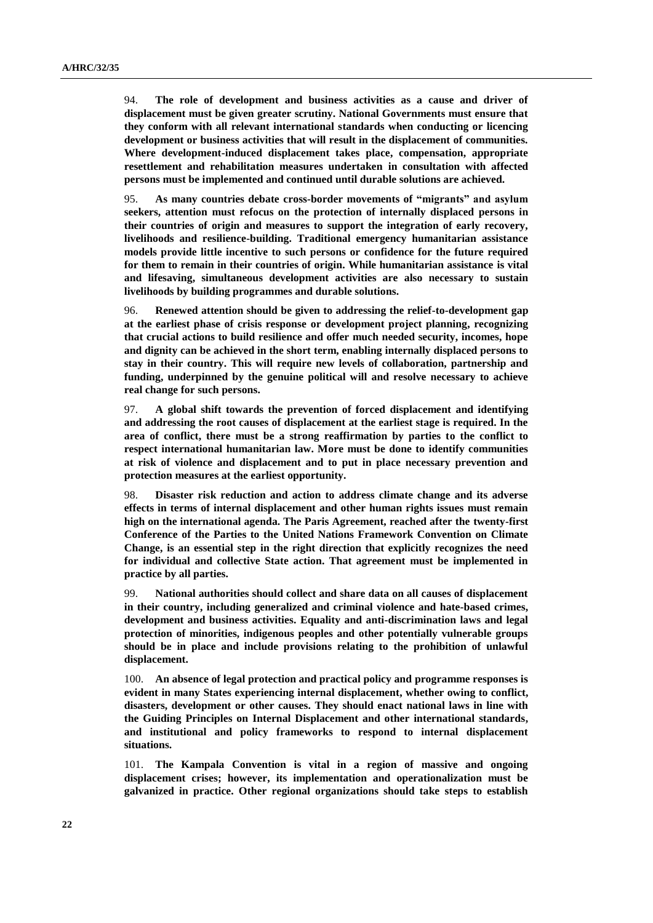94. **The role of development and business activities as a cause and driver of displacement must be given greater scrutiny. National Governments must ensure that they conform with all relevant international standards when conducting or licencing development or business activities that will result in the displacement of communities. Where development-induced displacement takes place, compensation, appropriate resettlement and rehabilitation measures undertaken in consultation with affected persons must be implemented and continued until durable solutions are achieved.** 

95. **As many countries debate cross-border movements of "migrants" and asylum seekers, attention must refocus on the protection of internally displaced persons in their countries of origin and measures to support the integration of early recovery, livelihoods and resilience-building. Traditional emergency humanitarian assistance models provide little incentive to such persons or confidence for the future required for them to remain in their countries of origin. While humanitarian assistance is vital and lifesaving, simultaneous development activities are also necessary to sustain livelihoods by building programmes and durable solutions.** 

96. **Renewed attention should be given to addressing the relief-to-development gap at the earliest phase of crisis response or development project planning, recognizing that crucial actions to build resilience and offer much needed security, incomes, hope and dignity can be achieved in the short term, enabling internally displaced persons to stay in their country. This will require new levels of collaboration, partnership and funding, underpinned by the genuine political will and resolve necessary to achieve real change for such persons.**

97. **A global shift towards the prevention of forced displacement and identifying and addressing the root causes of displacement at the earliest stage is required. In the area of conflict, there must be a strong reaffirmation by parties to the conflict to respect international humanitarian law. More must be done to identify communities at risk of violence and displacement and to put in place necessary prevention and protection measures at the earliest opportunity.**

98. **Disaster risk reduction and action to address climate change and its adverse effects in terms of internal displacement and other human rights issues must remain high on the international agenda. The Paris Agreement, reached after the twenty-first Conference of the Parties to the United Nations Framework Convention on Climate Change, is an essential step in the right direction that explicitly recognizes the need for individual and collective State action. That agreement must be implemented in practice by all parties.**

99. **National authorities should collect and share data on all causes of displacement in their country, including generalized and criminal violence and hate-based crimes, development and business activities. Equality and anti-discrimination laws and legal protection of minorities, indigenous peoples and other potentially vulnerable groups should be in place and include provisions relating to the prohibition of unlawful displacement.** 

100. **An absence of legal protection and practical policy and programme responses is evident in many States experiencing internal displacement, whether owing to conflict, disasters, development or other causes. They should enact national laws in line with the Guiding Principles on Internal Displacement and other international standards, and institutional and policy frameworks to respond to internal displacement situations.** 

101. **The Kampala Convention is vital in a region of massive and ongoing displacement crises; however, its implementation and operationalization must be galvanized in practice. Other regional organizations should take steps to establish**